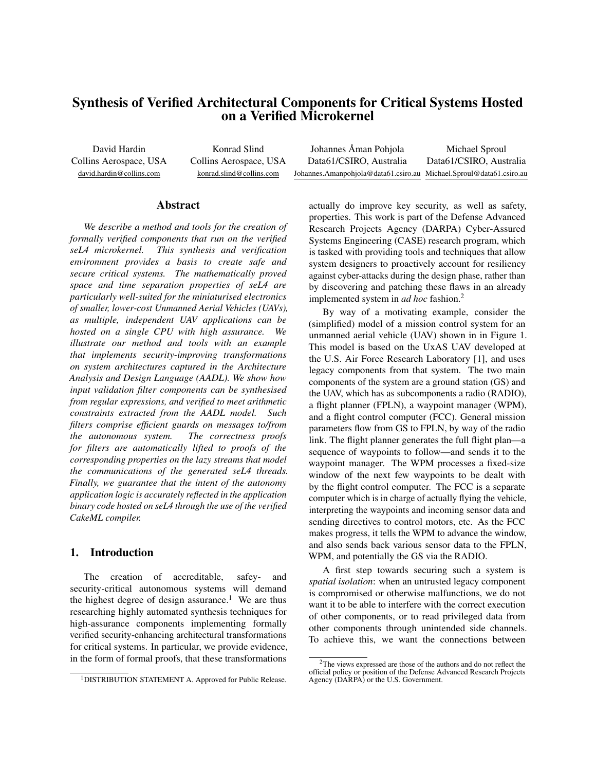# Synthesis of Verified Architectural Components for Critical Systems Hosted on a Verified Microkernel

David Hardin Collins Aerospace, USA david.hardin@collins.com

Konrad Slind Collins Aerospace, USA konrad.slind@collins.com

| Johannes Åman Pohjola                                               | Michael Sproul          |
|---------------------------------------------------------------------|-------------------------|
| Data61/CSIRO, Australia                                             | Data61/CSIRO, Australia |
| Johannes.Amanpohjola@data61.csiro.au Michael.Sproul@data61.csiro.au |                         |

#### Abstract

*We describe a method and tools for the creation of formally verified components that run on the verified seL4 microkernel. This synthesis and verification environment provides a basis to create safe and secure critical systems. The mathematically proved space and time separation properties of seL4 are particularly well-suited for the miniaturised electronics of smaller, lower-cost Unmanned Aerial Vehicles (UAVs), as multiple, independent UAV applications can be hosted on a single CPU with high assurance. We illustrate our method and tools with an example that implements security-improving transformations on system architectures captured in the Architecture Analysis and Design Language (AADL). We show how input validation filter components can be synthesised from regular expressions, and verified to meet arithmetic constraints extracted from the AADL model. Such filters comprise efficient guards on messages to/from the autonomous system. The correctness proofs for filters are automatically lifted to proofs of the corresponding properties on the lazy streams that model the communications of the generated seL4 threads. Finally, we guarantee that the intent of the autonomy application logic is accurately reflected in the application binary code hosted on seL4 through the use of the verified CakeML compiler.*

### 1. Introduction

The creation of accreditable, safey- and security-critical autonomous systems will demand the highest degree of design assurance.<sup>1</sup> We are thus researching highly automated synthesis techniques for high-assurance components implementing formally verified security-enhancing architectural transformations for critical systems. In particular, we provide evidence, in the form of formal proofs, that these transformations

actually do improve key security, as well as safety, properties. This work is part of the Defense Advanced Research Projects Agency (DARPA) Cyber-Assured Systems Engineering (CASE) research program, which is tasked with providing tools and techniques that allow system designers to proactively account for resiliency against cyber-attacks during the design phase, rather than by discovering and patching these flaws in an already implemented system in *ad hoc* fashion.<sup>2</sup>

By way of a motivating example, consider the (simplified) model of a mission control system for an unmanned aerial vehicle (UAV) shown in in Figure 1. This model is based on the UxAS UAV developed at the U.S. Air Force Research Laboratory [1], and uses legacy components from that system. The two main components of the system are a ground station (GS) and the UAV, which has as subcomponents a radio (RADIO), a flight planner (FPLN), a waypoint manager (WPM), and a flight control computer (FCC). General mission parameters flow from GS to FPLN, by way of the radio link. The flight planner generates the full flight plan—a sequence of waypoints to follow—and sends it to the waypoint manager. The WPM processes a fixed-size window of the next few waypoints to be dealt with by the flight control computer. The FCC is a separate computer which is in charge of actually flying the vehicle, interpreting the waypoints and incoming sensor data and sending directives to control motors, etc. As the FCC makes progress, it tells the WPM to advance the window, and also sends back various sensor data to the FPLN, WPM, and potentially the GS via the RADIO.

A first step towards securing such a system is *spatial isolation*: when an untrusted legacy component is compromised or otherwise malfunctions, we do not want it to be able to interfere with the correct execution of other components, or to read privileged data from other components through unintended side channels. To achieve this, we want the connections between

<sup>1</sup>DISTRIBUTION STATEMENT A. Approved for Public Release.

<sup>&</sup>lt;sup>2</sup>The views expressed are those of the authors and do not reflect the official policy or position of the Defense Advanced Research Projects Agency (DARPA) or the U.S. Government.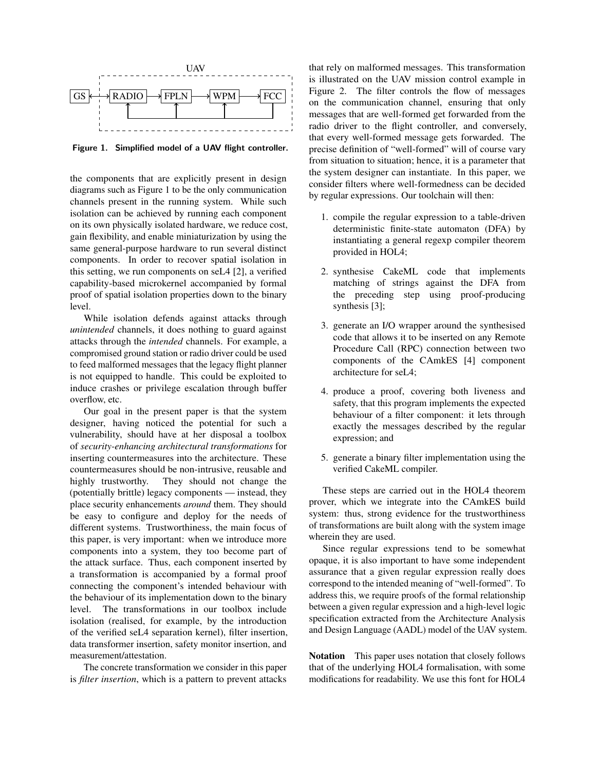

Figure 1. Simplified model of a UAV flight controller.

the components that are explicitly present in design diagrams such as Figure 1 to be the only communication channels present in the running system. While such isolation can be achieved by running each component on its own physically isolated hardware, we reduce cost, gain flexibility, and enable miniaturization by using the same general-purpose hardware to run several distinct components. In order to recover spatial isolation in this setting, we run components on seL4 [2], a verified capability-based microkernel accompanied by formal proof of spatial isolation properties down to the binary level.

While isolation defends against attacks through *unintended* channels, it does nothing to guard against attacks through the *intended* channels. For example, a compromised ground station or radio driver could be used to feed malformed messages that the legacy flight planner is not equipped to handle. This could be exploited to induce crashes or privilege escalation through buffer overflow, etc.

Our goal in the present paper is that the system designer, having noticed the potential for such a vulnerability, should have at her disposal a toolbox of *security-enhancing architectural transformations* for inserting countermeasures into the architecture. These countermeasures should be non-intrusive, reusable and highly trustworthy. They should not change the (potentially brittle) legacy components — instead, they place security enhancements *around* them. They should be easy to configure and deploy for the needs of different systems. Trustworthiness, the main focus of this paper, is very important: when we introduce more components into a system, they too become part of the attack surface. Thus, each component inserted by a transformation is accompanied by a formal proof connecting the component's intended behaviour with the behaviour of its implementation down to the binary level. The transformations in our toolbox include isolation (realised, for example, by the introduction of the verified seL4 separation kernel), filter insertion, data transformer insertion, safety monitor insertion, and measurement/attestation.

The concrete transformation we consider in this paper is *filter insertion*, which is a pattern to prevent attacks

that rely on malformed messages. This transformation is illustrated on the UAV mission control example in Figure 2. The filter controls the flow of messages on the communication channel, ensuring that only messages that are well-formed get forwarded from the radio driver to the flight controller, and conversely, that every well-formed message gets forwarded. The precise definition of "well-formed" will of course vary from situation to situation; hence, it is a parameter that the system designer can instantiate. In this paper, we consider filters where well-formedness can be decided by regular expressions. Our toolchain will then:

- 1. compile the regular expression to a table-driven deterministic finite-state automaton (DFA) by instantiating a general regexp compiler theorem provided in HOL4;
- 2. synthesise CakeML code that implements matching of strings against the DFA from the preceding step using proof-producing synthesis [3];
- 3. generate an I/O wrapper around the synthesised code that allows it to be inserted on any Remote Procedure Call (RPC) connection between two components of the CAmkES [4] component architecture for seL4;
- 4. produce a proof, covering both liveness and safety, that this program implements the expected behaviour of a filter component: it lets through exactly the messages described by the regular expression; and
- 5. generate a binary filter implementation using the verified CakeML compiler.

These steps are carried out in the HOL4 theorem prover, which we integrate into the CAmkES build system: thus, strong evidence for the trustworthiness of transformations are built along with the system image wherein they are used.

Since regular expressions tend to be somewhat opaque, it is also important to have some independent assurance that a given regular expression really does correspond to the intended meaning of "well-formed". To address this, we require proofs of the formal relationship between a given regular expression and a high-level logic specification extracted from the Architecture Analysis and Design Language (AADL) model of the UAV system.

Notation This paper uses notation that closely follows that of the underlying HOL4 formalisation, with some modifications for readability. We use this font for HOL4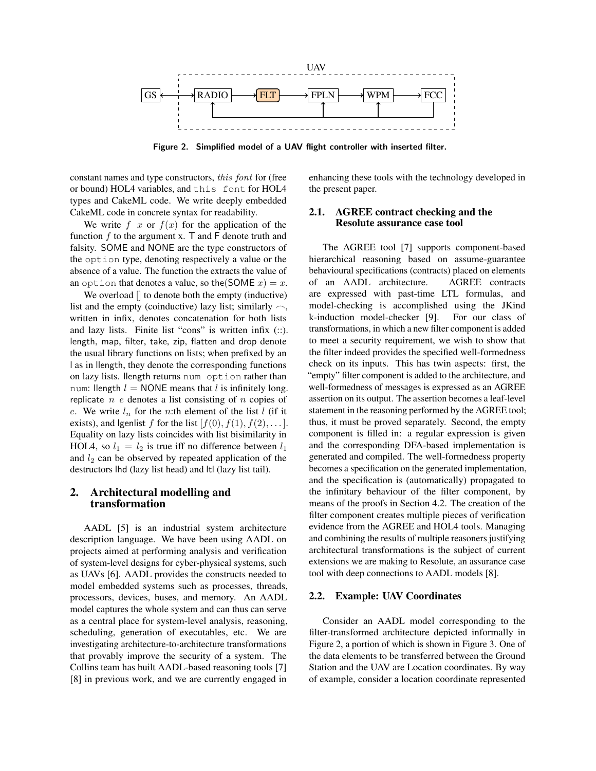

Figure 2. Simplified model of a UAV flight controller with inserted filter.

constant names and type constructors, this font for (free or bound) HOL4 variables, and this font for HOL4 types and CakeML code. We write deeply embedded CakeML code in concrete syntax for readability.

We write  $f(x)$  or  $f(x)$  for the application of the function  $f$  to the argument x. T and  $F$  denote truth and falsity. SOME and NONE are the type constructors of the option type, denoting respectively a value or the absence of a value. The function the extracts the value of an option that denotes a value, so the (SOME  $x$ ) = x.

We overload  $\parallel$  to denote both the empty (inductive) list and the empty (coinductive) lazy list; similarly  $\sim$ , written in infix, denotes concatenation for both lists and lazy lists. Finite list "cons" is written infix (::). length, map, filter, take, zip, flatten and drop denote the usual library functions on lists; when prefixed by an l as in llength, they denote the corresponding functions on lazy lists. llength returns num option rather than num: llength  $l = \text{NONE}$  means that l is infinitely long. replicate  $n$  e denotes a list consisting of  $n$  copies of e. We write  $l_n$  for the n:th element of the list  $l$  (if it exists), and lgenlist f for the list  $[f(0), f(1), f(2), \dots]$ . Equality on lazy lists coincides with list bisimilarity in HOL4, so  $l_1 = l_2$  is true iff no difference between  $l_1$ and  $l_2$  can be observed by repeated application of the destructors lhd (lazy list head) and ltl (lazy list tail).

# 2. Architectural modelling and transformation

AADL [5] is an industrial system architecture description language. We have been using AADL on projects aimed at performing analysis and verification of system-level designs for cyber-physical systems, such as UAVs [6]. AADL provides the constructs needed to model embedded systems such as processes, threads, processors, devices, buses, and memory. An AADL model captures the whole system and can thus can serve as a central place for system-level analysis, reasoning, scheduling, generation of executables, etc. We are investigating architecture-to-architecture transformations that provably improve the security of a system. The Collins team has built AADL-based reasoning tools [7] [8] in previous work, and we are currently engaged in

enhancing these tools with the technology developed in the present paper.

# 2.1. AGREE contract checking and the Resolute assurance case tool

The AGREE tool [7] supports component-based hierarchical reasoning based on assume-guarantee behavioural specifications (contracts) placed on elements of an AADL architecture. AGREE contracts are expressed with past-time LTL formulas, and model-checking is accomplished using the JKind k-induction model-checker [9]. For our class of transformations, in which a new filter component is added to meet a security requirement, we wish to show that the filter indeed provides the specified well-formedness check on its inputs. This has twin aspects: first, the "empty" filter component is added to the architecture, and well-formedness of messages is expressed as an AGREE assertion on its output. The assertion becomes a leaf-level statement in the reasoning performed by the AGREE tool; thus, it must be proved separately. Second, the empty component is filled in: a regular expression is given and the corresponding DFA-based implementation is generated and compiled. The well-formedness property becomes a specification on the generated implementation, and the specification is (automatically) propagated to the infinitary behaviour of the filter component, by means of the proofs in Section 4.2. The creation of the filter component creates multiple pieces of verification evidence from the AGREE and HOL4 tools. Managing and combining the results of multiple reasoners justifying architectural transformations is the subject of current extensions we are making to Resolute, an assurance case tool with deep connections to AADL models [8].

#### 2.2. Example: UAV Coordinates

Consider an AADL model corresponding to the filter-transformed architecture depicted informally in Figure 2, a portion of which is shown in Figure 3. One of the data elements to be transferred between the Ground Station and the UAV are Location coordinates. By way of example, consider a location coordinate represented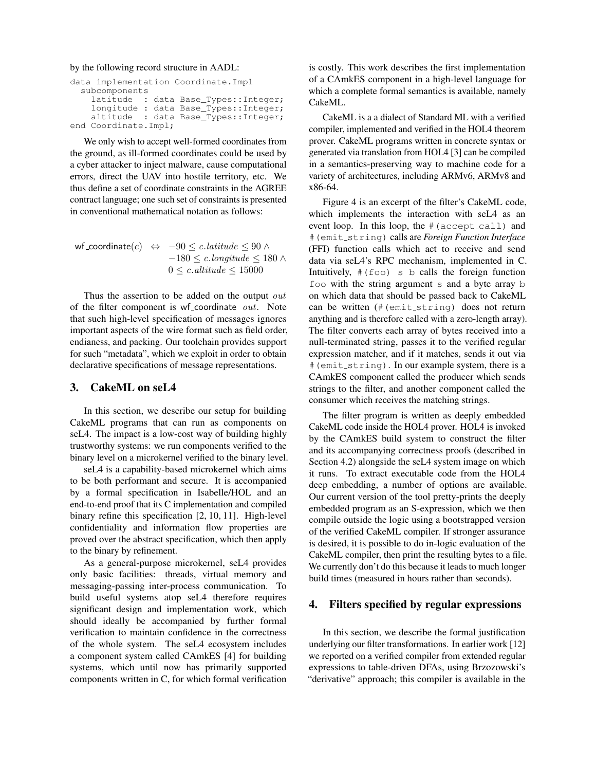#### by the following record structure in AADL:

```
data implementation Coordinate.Impl
  subcomponents
    latitude : data Base_Types:: Integer;
    longitude : data Base_Types::Integer;
    altitude : data Base_Types:: Integer;
end Coordinate.Impl;
```
We only wish to accept well-formed coordinates from the ground, as ill-formed coordinates could be used by a cyber attacker to inject malware, cause computational errors, direct the UAV into hostile territory, etc. We thus define a set of coordinate constraints in the AGREE contract language; one such set of constraints is presented in conventional mathematical notation as follows:

$$
\begin{aligned}\n\text{wf-coordinate}(c) &\Leftrightarrow & -90 \leq c.\n\end{aligned}\n\begin{aligned}\n\text{diffude} \leq 90 \land \\
-180 \leq c.\n\end{aligned}\n\begin{aligned}\n180 \leq c.\n\end{aligned}
$$

Thus the assertion to be added on the output out of the filter component is wf\_coordinate out. Note that such high-level specification of messages ignores important aspects of the wire format such as field order, endianess, and packing. Our toolchain provides support for such "metadata", which we exploit in order to obtain declarative specifications of message representations.

# 3. CakeML on seL4

In this section, we describe our setup for building CakeML programs that can run as components on seL4. The impact is a low-cost way of building highly trustworthy systems: we run components verified to the binary level on a microkernel verified to the binary level.

seL4 is a capability-based microkernel which aims to be both performant and secure. It is accompanied by a formal specification in Isabelle/HOL and an end-to-end proof that its C implementation and compiled binary refine this specification [2, 10, 11]. High-level confidentiality and information flow properties are proved over the abstract specification, which then apply to the binary by refinement.

As a general-purpose microkernel, seL4 provides only basic facilities: threads, virtual memory and messaging-passing inter-process communication. To build useful systems atop seL4 therefore requires significant design and implementation work, which should ideally be accompanied by further formal verification to maintain confidence in the correctness of the whole system. The seL4 ecosystem includes a component system called CAmkES [4] for building systems, which until now has primarily supported components written in C, for which formal verification

is costly. This work describes the first implementation of a CAmkES component in a high-level language for which a complete formal semantics is available, namely CakeML.

CakeML is a a dialect of Standard ML with a verified compiler, implemented and verified in the HOL4 theorem prover. CakeML programs written in concrete syntax or generated via translation from HOL4 [3] can be compiled in a semantics-preserving way to machine code for a variety of architectures, including ARMv6, ARMv8 and x86-64.

Figure 4 is an excerpt of the filter's CakeML code, which implements the interaction with seL4 as an event loop. In this loop, the # (accept\_call) and #(emit string) calls are *Foreign Function Interface* (FFI) function calls which act to receive and send data via seL4's RPC mechanism, implemented in C. Intuitively,  $# (f \circ \circ)$  s b calls the foreign function foo with the string argument s and a byte array b on which data that should be passed back to CakeML can be written (#(emit string) does not return anything and is therefore called with a zero-length array). The filter converts each array of bytes received into a null-terminated string, passes it to the verified regular expression matcher, and if it matches, sends it out via #(emit string). In our example system, there is a CAmkES component called the producer which sends strings to the filter, and another component called the consumer which receives the matching strings.

The filter program is written as deeply embedded CakeML code inside the HOL4 prover. HOL4 is invoked by the CAmkES build system to construct the filter and its accompanying correctness proofs (described in Section 4.2) alongside the seL4 system image on which it runs. To extract executable code from the HOL4 deep embedding, a number of options are available. Our current version of the tool pretty-prints the deeply embedded program as an S-expression, which we then compile outside the logic using a bootstrapped version of the verified CakeML compiler. If stronger assurance is desired, it is possible to do in-logic evaluation of the CakeML compiler, then print the resulting bytes to a file. We currently don't do this because it leads to much longer build times (measured in hours rather than seconds).

# 4. Filters specified by regular expressions

In this section, we describe the formal justification underlying our filter transformations. In earlier work [12] we reported on a verified compiler from extended regular expressions to table-driven DFAs, using Brzozowski's "derivative" approach; this compiler is available in the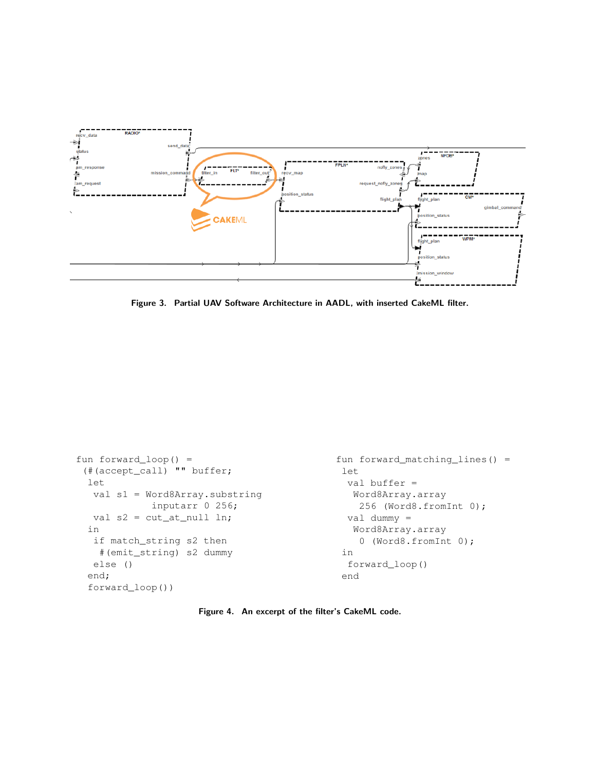

Figure 3. Partial UAV Software Architecture in AADL, with inserted CakeML filter.

```
fun forward_loop() =
 (#(accept_call) "" buffer;
  let
  val s1 = Word8Array.substring
             inputarr 0 256;
  val s2 = cut_at_null ln;in
   if match_string s2 then
    #(emit_string) s2 dummy
  else ()
  end;
  forward_loop())
                                              fun forward_matching_lines() =
                                               let
                                                val buffer =
                                                 Word8Array.array
                                                  256 (Word8.fromInt 0);
                                                val dummy =
                                                 Word8Array.array
                                                  0 (Word8.fromInt 0);
                                               in
                                                forward_loop()
                                               end
```
Figure 4. An excerpt of the filter's CakeML code.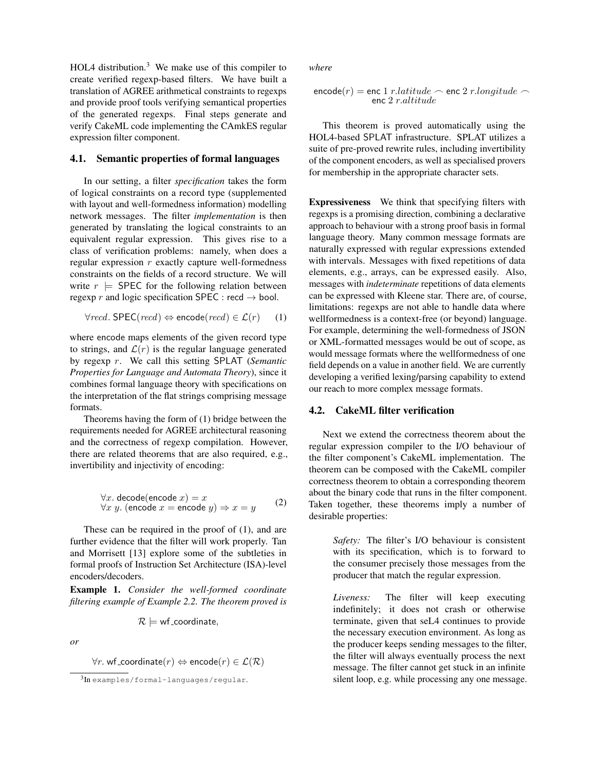HOL4 distribution. $3$  We make use of this compiler to create verified regexp-based filters. We have built a translation of AGREE arithmetical constraints to regexps and provide proof tools verifying semantical properties of the generated regexps. Final steps generate and verify CakeML code implementing the CAmkES regular expression filter component.

#### 4.1. Semantic properties of formal languages

In our setting, a filter *specification* takes the form of logical constraints on a record type (supplemented with layout and well-formedness information) modelling network messages. The filter *implementation* is then generated by translating the logical constraints to an equivalent regular expression. This gives rise to a class of verification problems: namely, when does a regular expression  $r$  exactly capture well-formedness constraints on the fields of a record structure. We will write  $r \models$  SPEC for the following relation between regexp r and logic specification SPEC : recd  $\rightarrow$  bool.

$$
\forall \text{red.} \text{SPEC}(\text{red}) \Leftrightarrow \text{encode}(\text{red}) \in \mathcal{L}(r) \quad (1)
$$

where encode maps elements of the given record type to strings, and  $\mathcal{L}(r)$  is the regular language generated by regexp r. We call this setting SPLAT (*Semantic Properties for Language and Automata Theory*), since it combines formal language theory with specifications on the interpretation of the flat strings comprising message formats.

Theorems having the form of (1) bridge between the requirements needed for AGREE architectural reasoning and the correctness of regexp compilation. However, there are related theorems that are also required, e.g., invertibility and injectivity of encoding:

$$
\forall x. \text{ decode}(\text{encode } x) = x \forall x y. (\text{encode } x = \text{encode } y) \Rightarrow x = y
$$
 (2)

These can be required in the proof of (1), and are further evidence that the filter will work properly. Tan and Morrisett [13] explore some of the subtleties in formal proofs of Instruction Set Architecture (ISA)-level encoders/decoders.

Example 1. *Consider the well-formed coordinate filtering example of Example 2.2. The theorem proved is*

$$
\mathcal{R} \models \mathsf{wf\_coordinate},
$$

*or*

 $\forall r$ . wf\_coordinate $(r) \Leftrightarrow$  encode $(r) \in \mathcal{L}(\mathcal{R})$ 

*where*

$$
\texttt{encode}(r) = \texttt{enc 1} \ r. latitude \frown \texttt{enc 2} \ r. longitude \frown \texttt{enc 2} \ r. divide
$$

This theorem is proved automatically using the HOL4-based SPLAT infrastructure. SPLAT utilizes a suite of pre-proved rewrite rules, including invertibility of the component encoders, as well as specialised provers for membership in the appropriate character sets.

Expressiveness We think that specifying filters with regexps is a promising direction, combining a declarative approach to behaviour with a strong proof basis in formal language theory. Many common message formats are naturally expressed with regular expressions extended with intervals. Messages with fixed repetitions of data elements, e.g., arrays, can be expressed easily. Also, messages with *indeterminate* repetitions of data elements can be expressed with Kleene star. There are, of course, limitations: regexps are not able to handle data where wellformedness is a context-free (or beyond) language. For example, determining the well-formedness of JSON or XML-formatted messages would be out of scope, as would message formats where the wellformedness of one field depends on a value in another field. We are currently developing a verified lexing/parsing capability to extend our reach to more complex message formats.

#### 4.2. CakeML filter verification

Next we extend the correctness theorem about the regular expression compiler to the I/O behaviour of the filter component's CakeML implementation. The theorem can be composed with the CakeML compiler correctness theorem to obtain a corresponding theorem about the binary code that runs in the filter component. Taken together, these theorems imply a number of desirable properties:

> *Safety:* The filter's I/O behaviour is consistent with its specification, which is to forward to the consumer precisely those messages from the producer that match the regular expression.

> *Liveness:* The filter will keep executing indefinitely; it does not crash or otherwise terminate, given that seL4 continues to provide the necessary execution environment. As long as the producer keeps sending messages to the filter, the filter will always eventually process the next message. The filter cannot get stuck in an infinite silent loop, e.g. while processing any one message.

<sup>3</sup> In examples/formal-languages/regular.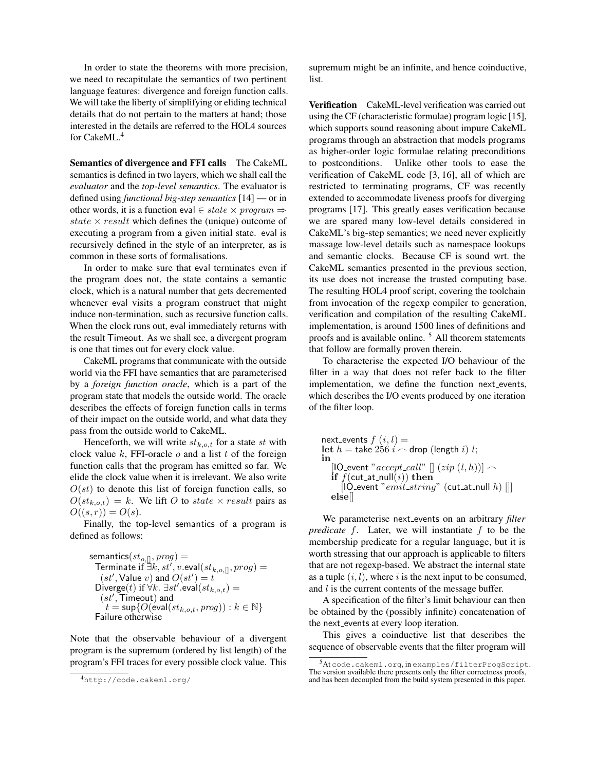In order to state the theorems with more precision, we need to recapitulate the semantics of two pertinent language features: divergence and foreign function calls. We will take the liberty of simplifying or eliding technical details that do not pertain to the matters at hand; those interested in the details are referred to the HOL4 sources for CakeML.<sup>4</sup>

Semantics of divergence and FFI calls The CakeML semantics is defined in two layers, which we shall call the *evaluator* and the *top-level semantics*. The evaluator is defined using *functional big-step semantics* [14] — or in other words, it is a function eval  $∈ state × program$ state  $\times$  result which defines the (unique) outcome of executing a program from a given initial state. eval is recursively defined in the style of an interpreter, as is common in these sorts of formalisations.

In order to make sure that eval terminates even if the program does not, the state contains a semantic clock, which is a natural number that gets decremented whenever eval visits a program construct that might induce non-termination, such as recursive function calls. When the clock runs out, eval immediately returns with the result Timeout. As we shall see, a divergent program is one that times out for every clock value.

CakeML programs that communicate with the outside world via the FFI have semantics that are parameterised by a *foreign function oracle*, which is a part of the program state that models the outside world. The oracle describes the effects of foreign function calls in terms of their impact on the outside world, and what data they pass from the outside world to CakeML.

Henceforth, we will write  $st_{k.o.t}$  for a state st with clock value  $k$ , FFI-oracle  $o$  and a list  $t$  of the foreign function calls that the program has emitted so far. We elide the clock value when it is irrelevant. We also write  $O(st)$  to denote this list of foreign function calls, so  $O(st_{k.o.t}) = k$ . We lift O to state  $\times$  result pairs as  $O((s,r)) = O(s)$ .

Finally, the top-level semantics of a program is defined as follows:

$$
\begin{array}{ll} \text{semantics}(st_{o,\text{[]}}, prog) = \\ \text{Terminate if } \exists k, st', v.\text{eval}(st_{k,o,\text{[]}}, prog) = \\ (st', \text{Value } v) \text{ and } O(st') = t \\ \text{Diverge}(t) \text{ if } \forall k. \ \exists st'.\text{eval}(st_{k,o,t}) = \\ (st', \text{Timeout}) \text{ and } \\ t = \sup\{O(\text{eval}(st_{k,o,t}, prog)) : k \in \mathbb{N}\} \\ \text{Failure otherwise} \end{array}
$$

Note that the observable behaviour of a divergent program is the supremum (ordered by list length) of the program's FFI traces for every possible clock value. This

supremum might be an infinite, and hence coinductive, list.

Verification CakeML-level verification was carried out using the CF (characteristic formulae) program logic [15], which supports sound reasoning about impure CakeML programs through an abstraction that models programs as higher-order logic formulae relating preconditions to postconditions. Unlike other tools to ease the verification of CakeML code [3, 16], all of which are restricted to terminating programs, CF was recently extended to accommodate liveness proofs for diverging programs [17]. This greatly eases verification because we are spared many low-level details considered in CakeML's big-step semantics; we need never explicitly massage low-level details such as namespace lookups and semantic clocks. Because CF is sound wrt. the CakeML semantics presented in the previous section, its use does not increase the trusted computing base. The resulting HOL4 proof script, covering the toolchain from invocation of the regexp compiler to generation, verification and compilation of the resulting CakeML implementation, is around 1500 lines of definitions and proofs and is available online. <sup>5</sup> All theorem statements that follow are formally proven therein.

To characterise the expected I/O behaviour of the filter in a way that does not refer back to the filter implementation, we define the function next events, which describes the I/O events produced by one iteration of the filter loop.

next\_events 
$$
f(i, l) =
$$
  
let  $h =$  take 256  $i \frown$  drop (length  $i$ )  $l$ ;  
in  
[IO-event "accept-call" []  $(zip (l, h)) \frown$   
if  $f$ (cut\_at-null( $i$ )) then  
[IO-event "emit-string" (cut\_at-null  $h$ ) []]  
else[]

We parameterise next events on an arbitrary *filter predicate* f. Later, we will instantiate f to be the membership predicate for a regular language, but it is worth stressing that our approach is applicable to filters that are not regexp-based. We abstract the internal state as a tuple  $(i, l)$ , where i is the next input to be consumed, and  $l$  is the current contents of the message buffer.

A specification of the filter's limit behaviour can then be obtained by the (possibly infinite) concatenation of the next events at every loop iteration.

This gives a coinductive list that describes the sequence of observable events that the filter program will

<sup>4</sup>http://code.cakeml.org/

<sup>5</sup>At code.cakeml.org, in examples/filterProgScript. The version available there presents only the filter correctness proofs, and has been decoupled from the build system presented in this paper.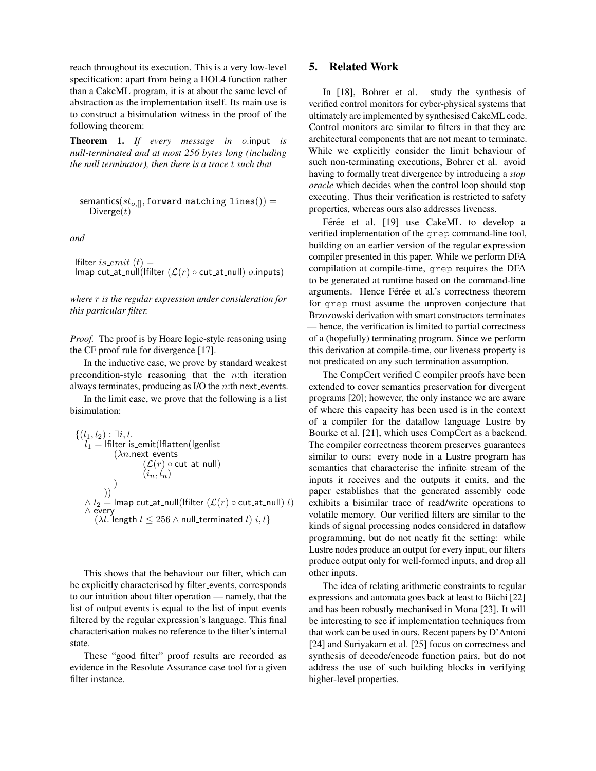reach throughout its execution. This is a very low-level specification: apart from being a HOL4 function rather than a CakeML program, it is at about the same level of abstraction as the implementation itself. Its main use is to construct a bisimulation witness in the proof of the following theorem:

Theorem 1. *If every message in* o.input *is null-terminated and at most 256 bytes long (including the null terminator), then there is a trace* t *such that*

$$
\texttt{semantics}(st_{o,[]}, \texttt{forward\_matching\_lines}()) = \\ \texttt{Diverge}(t)
$$

*and*

lfilter is emit  $(t) =$ lmap cut\_at\_null(lfilter  $(\mathcal{L}(r) \circ \text{cut}_\text{at}\text{-null}) o.\text{inputs})$ 

*where* r *is the regular expression under consideration for this particular filter.*

*Proof.* The proof is by Hoare logic-style reasoning using the CF proof rule for divergence [17].

In the inductive case, we prove by standard weakest precondition-style reasoning that the  $n$ :th iteration always terminates, producing as I/O the  $n$ :th next events.

In the limit case, we prove that the following is a list bisimulation:

$$
\begin{array}{l} \{(l_1,l_2):\exists i,l. \\\ l_1 = \text{Ifilter is\_emit}(\text{Iflatten}(\text{Igenlist} \\ (\lambda n.\text{next_events} \\ (\mathcal{L}(r)\circ \text{cut}\_\text{at-null})) \\ (i_n,l_n) \\\end{array})
$$

 $\Box$ 

This shows that the behaviour our filter, which can be explicitly characterised by filter\_events, corresponds to our intuition about filter operation — namely, that the list of output events is equal to the list of input events filtered by the regular expression's language. This final characterisation makes no reference to the filter's internal state.

These "good filter" proof results are recorded as evidence in the Resolute Assurance case tool for a given filter instance.

### 5. Related Work

In [18], Bohrer et al. study the synthesis of verified control monitors for cyber-physical systems that ultimately are implemented by synthesised CakeML code. Control monitors are similar to filters in that they are architectural components that are not meant to terminate. While we explicitly consider the limit behaviour of such non-terminating executions, Bohrer et al. avoid having to formally treat divergence by introducing a *stop oracle* which decides when the control loop should stop executing. Thus their verification is restricted to safety properties, whereas ours also addresses liveness.

Férée et al. [19] use CakeML to develop a verified implementation of the grep command-line tool, building on an earlier version of the regular expression compiler presented in this paper. While we perform DFA compilation at compile-time, grep requires the DFA to be generated at runtime based on the command-line arguments. Hence Férée et al.'s correctness theorem for grep must assume the unproven conjecture that Brzozowski derivation with smart constructors terminates — hence, the verification is limited to partial correctness of a (hopefully) terminating program. Since we perform this derivation at compile-time, our liveness property is not predicated on any such termination assumption.

The CompCert verified C compiler proofs have been extended to cover semantics preservation for divergent programs [20]; however, the only instance we are aware of where this capacity has been used is in the context of a compiler for the dataflow language Lustre by Bourke et al. [21], which uses CompCert as a backend. The compiler correctness theorem preserves guarantees similar to ours: every node in a Lustre program has semantics that characterise the infinite stream of the inputs it receives and the outputs it emits, and the paper establishes that the generated assembly code exhibits a bisimilar trace of read/write operations to volatile memory. Our verified filters are similar to the kinds of signal processing nodes considered in dataflow programming, but do not neatly fit the setting: while Lustre nodes produce an output for every input, our filters produce output only for well-formed inputs, and drop all other inputs.

The idea of relating arithmetic constraints to regular expressions and automata goes back at least to Büchi [22] and has been robustly mechanised in Mona [23]. It will be interesting to see if implementation techniques from that work can be used in ours. Recent papers by D'Antoni [24] and Suriyakarn et al. [25] focus on correctness and synthesis of decode/encode function pairs, but do not address the use of such building blocks in verifying higher-level properties.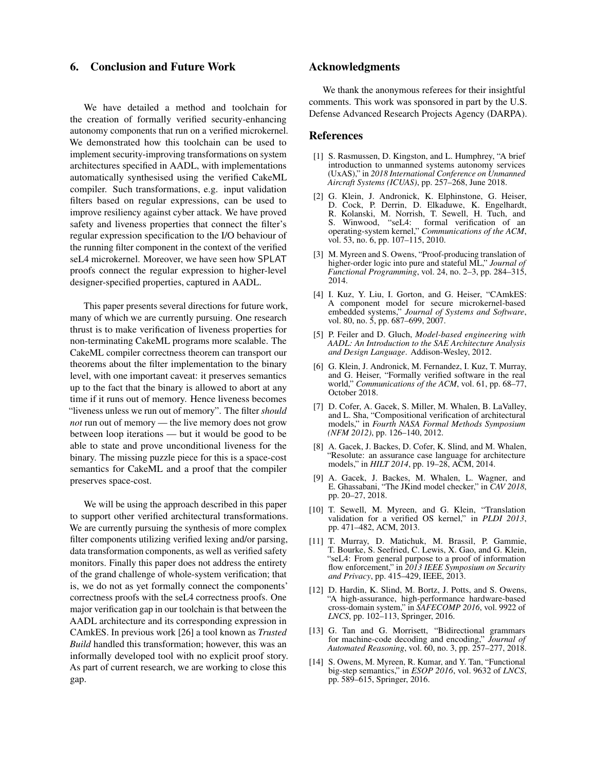### 6. Conclusion and Future Work

We have detailed a method and toolchain for the creation of formally verified security-enhancing autonomy components that run on a verified microkernel. We demonstrated how this toolchain can be used to implement security-improving transformations on system architectures specified in AADL, with implementations automatically synthesised using the verified CakeML compiler. Such transformations, e.g. input validation filters based on regular expressions, can be used to improve resiliency against cyber attack. We have proved safety and liveness properties that connect the filter's regular expression specification to the I/O behaviour of the running filter component in the context of the verified seL4 microkernel. Moreover, we have seen how SPLAT proofs connect the regular expression to higher-level designer-specified properties, captured in AADL.

This paper presents several directions for future work, many of which we are currently pursuing. One research thrust is to make verification of liveness properties for non-terminating CakeML programs more scalable. The CakeML compiler correctness theorem can transport our theorems about the filter implementation to the binary level, with one important caveat: it preserves semantics up to the fact that the binary is allowed to abort at any time if it runs out of memory. Hence liveness becomes "liveness unless we run out of memory". The filter *should not* run out of memory — the live memory does not grow between loop iterations — but it would be good to be able to state and prove unconditional liveness for the binary. The missing puzzle piece for this is a space-cost semantics for CakeML and a proof that the compiler preserves space-cost.

We will be using the approach described in this paper to support other verified architectural transformations. We are currently pursuing the synthesis of more complex filter components utilizing verified lexing and/or parsing, data transformation components, as well as verified safety monitors. Finally this paper does not address the entirety of the grand challenge of whole-system verification; that is, we do not as yet formally connect the components' correctness proofs with the seL4 correctness proofs. One major verification gap in our toolchain is that between the AADL architecture and its corresponding expression in CAmkES. In previous work [26] a tool known as *Trusted Build* handled this transformation; however, this was an informally developed tool with no explicit proof story. As part of current research, we are working to close this gap.

# Acknowledgments

We thank the anonymous referees for their insightful comments. This work was sponsored in part by the U.S. Defense Advanced Research Projects Agency (DARPA).

#### References

- [1] S. Rasmussen, D. Kingston, and L. Humphrey, "A brief introduction to unmanned systems autonomy services (UxAS)," in *2018 International Conference on Unmanned Aircraft Systems (ICUAS)*, pp. 257–268, June 2018.
- [2] G. Klein, J. Andronick, K. Elphinstone, G. Heiser, D. Cock, P. Derrin, D. Elkaduwe, K. Engelhardt, R. Kolanski, M. Norrish, T. Sewell, H. Tuch, and S. Winwood, "seL4: formal verification of an operating-system kernel," *Communications of the ACM*, vol. 53, no. 6, pp. 107–115, 2010.
- [3] M. Myreen and S. Owens, "Proof-producing translation of higher-order logic into pure and stateful ML," *Journal of Functional Programming*, vol. 24, no. 2–3, pp. 284–315, 2014.
- [4] I. Kuz, Y. Liu, I. Gorton, and G. Heiser, "CAmkES: A component model for secure microkernel-based embedded systems," *Journal of Systems and Software*, vol. 80, no. 5, pp. 687–699, 2007.
- [5] P. Feiler and D. Gluch, *Model-based engineering with AADL: An Introduction to the SAE Architecture Analysis and Design Language*. Addison-Wesley, 2012.
- [6] G. Klein, J. Andronick, M. Fernandez, I. Kuz, T. Murray, and G. Heiser, "Formally verified software in the real world," *Communications of the ACM*, vol. 61, pp. 68–77, October 2018.
- [7] D. Cofer, A. Gacek, S. Miller, M. Whalen, B. LaValley, and L. Sha, "Compositional verification of architectural models," in *Fourth NASA Formal Methods Symposium (NFM 2012)*, pp. 126–140, 2012.
- [8] A. Gacek, J. Backes, D. Cofer, K. Slind, and M. Whalen, "Resolute: an assurance case language for architecture models," in *HILT 2014*, pp. 19–28, ACM, 2014.
- [9] A. Gacek, J. Backes, M. Whalen, L. Wagner, and E. Ghassabani, "The JKind model checker," in *CAV 2018*, pp. 20–27, 2018.
- [10] T. Sewell, M. Myreen, and G. Klein, "Translation validation for a verified OS kernel," in *PLDI 2013*, pp. 471–482, ACM, 2013.
- [11] T. Murray, D. Matichuk, M. Brassil, P. Gammie, T. Bourke, S. Seefried, C. Lewis, X. Gao, and G. Klein, "seL4: From general purpose to a proof of information flow enforcement," in *2013 IEEE Symposium on Security and Privacy*, pp. 415–429, IEEE, 2013.
- [12] D. Hardin, K. Slind, M. Bortz, J. Potts, and S. Owens, "A high-assurance, high-performance hardware-based cross-domain system," in *SAFECOMP 2016*, vol. 9922 of *LNCS*, pp. 102–113, Springer, 2016.
- [13] G. Tan and G. Morrisett, "Bidirectional grammars for machine-code decoding and encoding," *Journal of Automated Reasoning*, vol. 60, no. 3, pp. 257–277, 2018.
- [14] S. Owens, M. Myreen, R. Kumar, and Y. Tan, "Functional big-step semantics," in *ESOP 2016*, vol. 9632 of *LNCS*, pp. 589–615, Springer, 2016.